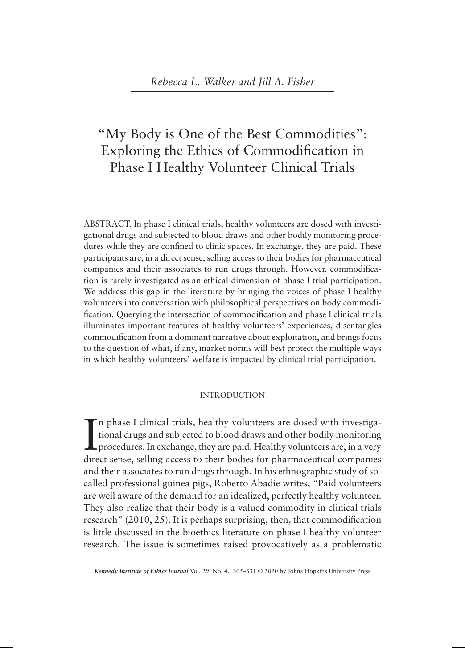# "My Body is One of the Best Commodities": Exploring the Ethics of Commodification in Phase I Healthy Volunteer Clinical Trials

ABSTRACT. In phase I clinical trials, healthy volunteers are dosed with investigational drugs and subjected to blood draws and other bodily monitoring procedures while they are confined to clinic spaces. In exchange, they are paid. These participants are, in a direct sense, selling access to their bodies for pharmaceutical companies and their associates to run drugs through. However, commodification is rarely investigated as an ethical dimension of phase I trial participation. We address this gap in the literature by bringing the voices of phase I healthy volunteers into conversation with philosophical perspectives on body commodification. Querying the intersection of commodification and phase I clinical trials illuminates important features of healthy volunteers' experiences, disentangles commodification from a dominant narrative about exploitation, and brings focus to the question of what, if any, market norms will best protect the multiple ways in which healthy volunteers' welfare is impacted by clinical trial participation.

#### INTRODUCTION

In phase I clinical trials, healthy volunteers are dosed with investiga-<br>tional drugs and subjected to blood draws and other bodily monitoring<br>procedures. In exchange, they are paid. Healthy volunteers are, in a very<br>direc n phase I clinical trials, healthy volunteers are dosed with investigational drugs and subjected to blood draws and other bodily monitoring direct sense, selling access to their bodies for pharmaceutical companies and their associates to run drugs through. In his ethnographic study of socalled professional guinea pigs, Roberto Abadie writes, "Paid volunteers are well aware of the demand for an idealized, perfectly healthy volunteer. They also realize that their body is a valued commodity in clinical trials research" (2010, 25). It is perhaps surprising, then, that commodification is little discussed in the bioethics literature on phase I healthy volunteer research. The issue is sometimes raised provocatively as a problematic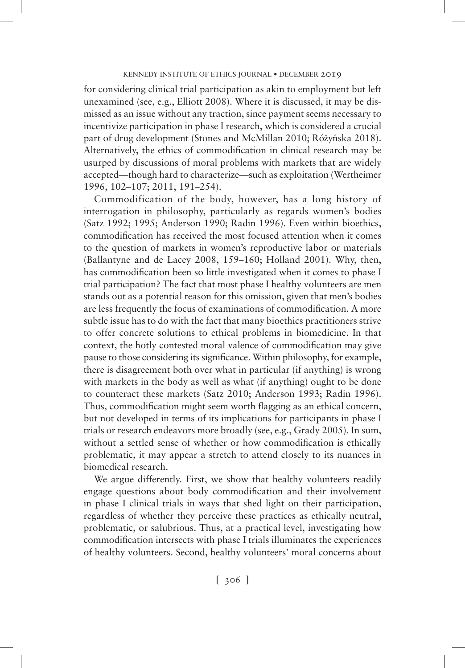for considering clinical trial participation as akin to employment but left unexamined (see, e.g., Elliott 2008). Where it is discussed, it may be dismissed as an issue without any traction, since payment seems necessary to incentivize participation in phase I research, which is considered a crucial methaville participation in phase Frescarch, which is considered a cracial part of drug development (Stones and McMillan 2010; Różyńska 2018). Alternatively, the ethics of commodification in clinical research may be usurped by discussions of moral problems with markets that are widely accepted—though hard to characterize—such as exploitation (Wertheimer 1996, 102–107; 2011, 191–254).

Commodification of the body, however, has a long history of interrogation in philosophy, particularly as regards women's bodies (Satz 1992; 1995; Anderson 1990; Radin 1996). Even within bioethics, commodification has received the most focused attention when it comes to the question of markets in women's reproductive labor or materials (Ballantyne and de Lacey 2008, 159–160; Holland 2001). Why, then, has commodification been so little investigated when it comes to phase I trial participation? The fact that most phase I healthy volunteers are men stands out as a potential reason for this omission, given that men's bodies are less frequently the focus of examinations of commodification. A more subtle issue has to do with the fact that many bioethics practitioners strive to offer concrete solutions to ethical problems in biomedicine. In that context, the hotly contested moral valence of commodification may give pause to those considering its significance. Within philosophy, for example, there is disagreement both over what in particular (if anything) is wrong with markets in the body as well as what (if anything) ought to be done to counteract these markets (Satz 2010; Anderson 1993; Radin 1996). Thus, commodification might seem worth flagging as an ethical concern, but not developed in terms of its implications for participants in phase I trials or research endeavors more broadly (see, e.g., Grady 2005). In sum, without a settled sense of whether or how commodification is ethically problematic, it may appear a stretch to attend closely to its nuances in biomedical research.

We argue differently. First, we show that healthy volunteers readily engage questions about body commodification and their involvement in phase I clinical trials in ways that shed light on their participation, regardless of whether they perceive these practices as ethically neutral, problematic, or salubrious. Thus, at a practical level, investigating how commodification intersects with phase I trials illuminates the experiences of healthy volunteers. Second, healthy volunteers' moral concerns about

[ 306 ]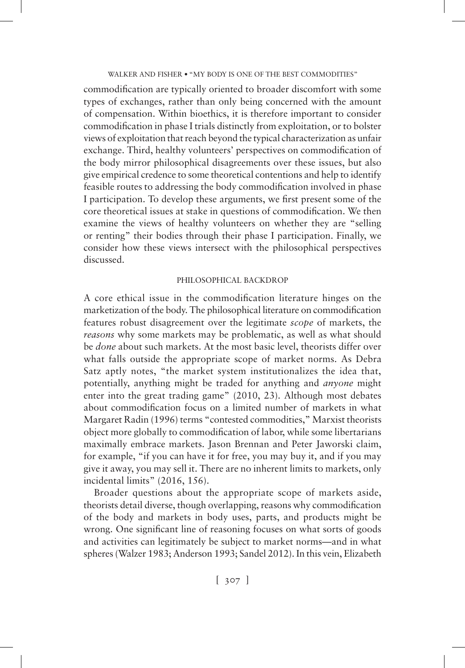commodification are typically oriented to broader discomfort with some types of exchanges, rather than only being concerned with the amount of compensation. Within bioethics, it is therefore important to consider commodification in phase I trials distinctly from exploitation, or to bolster views of exploitation that reach beyond the typical characterization as unfair exchange. Third, healthy volunteers' perspectives on commodification of the body mirror philosophical disagreements over these issues, but also give empirical credence to some theoretical contentions and help to identify feasible routes to addressing the body commodification involved in phase I participation. To develop these arguments, we first present some of the core theoretical issues at stake in questions of commodification. We then examine the views of healthy volunteers on whether they are "selling or renting" their bodies through their phase I participation. Finally, we consider how these views intersect with the philosophical perspectives discussed.

### PHILOSOPHICAL BACKDROP

A core ethical issue in the commodification literature hinges on the marketization of the body. The philosophical literature on commodification features robust disagreement over the legitimate *scope* of markets, the *reasons* why some markets may be problematic, as well as what should be *done* about such markets. At the most basic level, theorists differ over what falls outside the appropriate scope of market norms. As Debra Satz aptly notes, "the market system institutionalizes the idea that, potentially, anything might be traded for anything and *anyone* might enter into the great trading game" (2010, 23). Although most debates about commodification focus on a limited number of markets in what Margaret Radin (1996) terms "contested commodities," Marxist theorists object more globally to commodification of labor, while some libertarians maximally embrace markets. Jason Brennan and Peter Jaworski claim, for example, "if you can have it for free, you may buy it, and if you may give it away, you may sell it. There are no inherent limits to markets, only incidental limits" (2016, 156).

Broader questions about the appropriate scope of markets aside, theorists detail diverse, though overlapping, reasons why commodification of the body and markets in body uses, parts, and products might be wrong. One significant line of reasoning focuses on what sorts of goods and activities can legitimately be subject to market norms—and in what spheres (Walzer 1983; Anderson 1993; Sandel 2012). In this vein, Elizabeth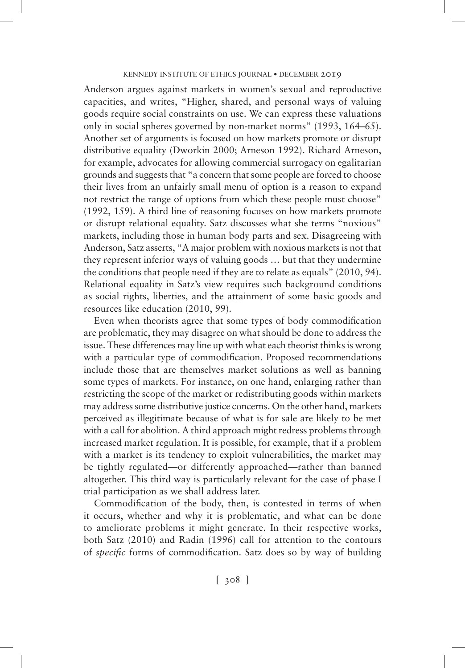Anderson argues against markets in women's sexual and reproductive capacities, and writes, "Higher, shared, and personal ways of valuing goods require social constraints on use. We can express these valuations only in social spheres governed by non-market norms" (1993, 164–65). Another set of arguments is focused on how markets promote or disrupt distributive equality (Dworkin 2000; Arneson 1992). Richard Arneson, for example, advocates for allowing commercial surrogacy on egalitarian grounds and suggests that "a concern that some people are forced to choose their lives from an unfairly small menu of option is a reason to expand not restrict the range of options from which these people must choose" (1992, 159). A third line of reasoning focuses on how markets promote or disrupt relational equality. Satz discusses what she terms "noxious" markets, including those in human body parts and sex. Disagreeing with Anderson, Satz asserts, "A major problem with noxious markets is not that they represent inferior ways of valuing goods … but that they undermine the conditions that people need if they are to relate as equals" (2010, 94). Relational equality in Satz's view requires such background conditions as social rights, liberties, and the attainment of some basic goods and resources like education (2010, 99).

Even when theorists agree that some types of body commodification are problematic, they may disagree on what should be done to address the issue. These differences may line up with what each theorist thinks is wrong with a particular type of commodification. Proposed recommendations include those that are themselves market solutions as well as banning some types of markets. For instance, on one hand, enlarging rather than restricting the scope of the market or redistributing goods within markets may address some distributive justice concerns. On the other hand, markets perceived as illegitimate because of what is for sale are likely to be met with a call for abolition. A third approach might redress problems through increased market regulation. It is possible, for example, that if a problem with a market is its tendency to exploit vulnerabilities, the market may be tightly regulated—or differently approached—rather than banned altogether. This third way is particularly relevant for the case of phase I trial participation as we shall address later.

Commodification of the body, then, is contested in terms of when it occurs, whether and why it is problematic, and what can be done to ameliorate problems it might generate. In their respective works, both Satz (2010) and Radin (1996) call for attention to the contours of *specific* forms of commodification. Satz does so by way of building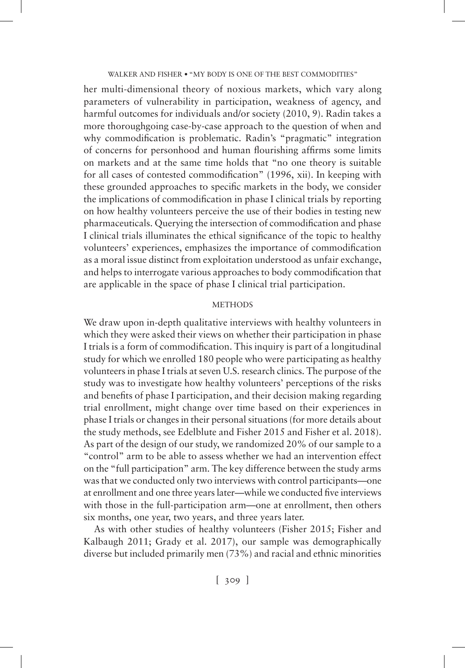her multi-dimensional theory of noxious markets, which vary along parameters of vulnerability in participation, weakness of agency, and harmful outcomes for individuals and/or society (2010, 9). Radin takes a more thoroughgoing case-by-case approach to the question of when and why commodification is problematic. Radin's "pragmatic" integration of concerns for personhood and human flourishing affirms some limits on markets and at the same time holds that "no one theory is suitable for all cases of contested commodification" (1996, xii). In keeping with these grounded approaches to specific markets in the body, we consider the implications of commodification in phase I clinical trials by reporting on how healthy volunteers perceive the use of their bodies in testing new pharmaceuticals. Querying the intersection of commodification and phase I clinical trials illuminates the ethical significance of the topic to healthy volunteers' experiences, emphasizes the importance of commodification as a moral issue distinct from exploitation understood as unfair exchange, and helps to interrogate various approaches to body commodification that are applicable in the space of phase I clinical trial participation.

### **METHODS**

We draw upon in-depth qualitative interviews with healthy volunteers in which they were asked their views on whether their participation in phase I trials is a form of commodification. This inquiry is part of a longitudinal study for which we enrolled 180 people who were participating as healthy volunteers in phase I trials at seven U.S. research clinics. The purpose of the study was to investigate how healthy volunteers' perceptions of the risks and benefits of phase I participation, and their decision making regarding trial enrollment, might change over time based on their experiences in phase I trials or changes in their personal situations (for more details about the study methods, see Edelblute and Fisher 2015 and Fisher et al. 2018). As part of the design of our study, we randomized 20% of our sample to a "control" arm to be able to assess whether we had an intervention effect on the "full participation" arm. The key difference between the study arms was that we conducted only two interviews with control participants—one at enrollment and one three years later—while we conducted five interviews with those in the full-participation arm—one at enrollment, then others six months, one year, two years, and three years later.

As with other studies of healthy volunteers (Fisher 2015; Fisher and Kalbaugh 2011; Grady et al. 2017), our sample was demographically diverse but included primarily men (73%) and racial and ethnic minorities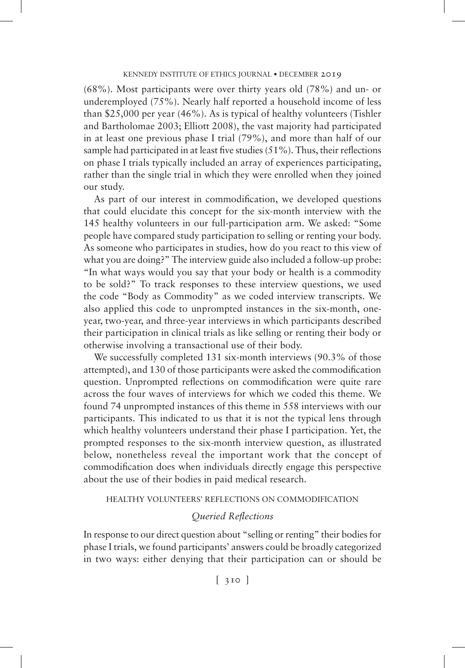(68%). Most participants were over thirty years old (78%) and un- or underemployed (75%). Nearly half reported a household income of less than \$25,000 per year (46%). As is typical of healthy volunteers (Tishler and Bartholomae 2003; Elliott 2008), the vast majority had participated in at least one previous phase I trial (79%), and more than half of our sample had participated in at least five studies (51%). Thus, their reflections on phase I trials typically included an array of experiences participating, rather than the single trial in which they were enrolled when they joined our study.

As part of our interest in commodification, we developed questions that could elucidate this concept for the six-month interview with the 145 healthy volunteers in our full-participation arm. We asked: "Some people have compared study participation to selling or renting your body. As someone who participates in studies, how do you react to this view of what you are doing?" The interview guide also included a follow-up probe: "In what ways would you say that your body or health is a commodity to be sold?" To track responses to these interview questions, we used the code "Body as Commodity" as we coded interview transcripts. We also applied this code to unprompted instances in the six-month, oneyear, two-year, and three-year interviews in which participants described their participation in clinical trials as like selling or renting their body or otherwise involving a transactional use of their body.

We successfully completed 131 six-month interviews (90.3% of those attempted), and 130 of those participants were asked the commodification question. Unprompted reflections on commodification were quite rare across the four waves of interviews for which we coded this theme. We found 74 unprompted instances of this theme in 558 interviews with our participants. This indicated to us that it is not the typical lens through which healthy volunteers understand their phase I participation. Yet, the prompted responses to the six-month interview question, as illustrated below, nonetheless reveal the important work that the concept of commodification does when individuals directly engage this perspective about the use of their bodies in paid medical research.

#### HEALTHY VOLUNTEERS' REFLECTIONS ON COMMODIFICATION

### *Queried Reflections*

In response to our direct question about "selling or renting" their bodies for phase I trials, we found participants' answers could be broadly categorized in two ways: either denying that their participation can or should be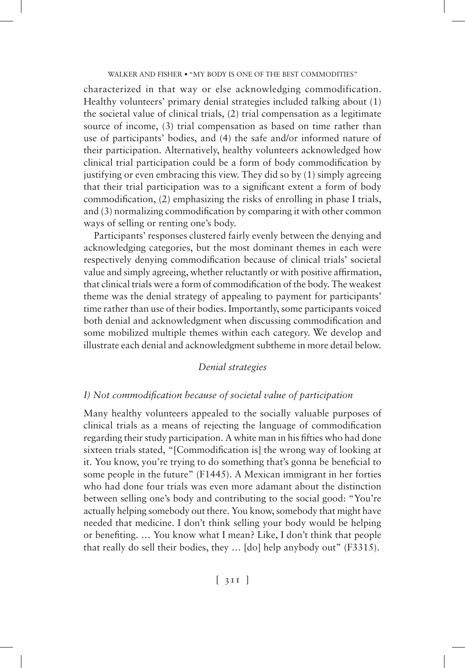characterized in that way or else acknowledging commodification. Healthy volunteers' primary denial strategies included talking about (1) the societal value of clinical trials, (2) trial compensation as a legitimate source of income, (3) trial compensation as based on time rather than use of participants' bodies, and (4) the safe and/or informed nature of their participation. Alternatively, healthy volunteers acknowledged how clinical trial participation could be a form of body commodification by justifying or even embracing this view. They did so by (1) simply agreeing that their trial participation was to a significant extent a form of body commodification, (2) emphasizing the risks of enrolling in phase I trials, and (3) normalizing commodification by comparing it with other common ways of selling or renting one's body.

Participants' responses clustered fairly evenly between the denying and acknowledging categories, but the most dominant themes in each were respectively denying commodification because of clinical trials' societal value and simply agreeing, whether reluctantly or with positive affirmation, that clinical trials were a form of commodification of the body. The weakest theme was the denial strategy of appealing to payment for participants' time rather than use of their bodies. Importantly, some participants voiced both denial and acknowledgment when discussing commodification and some mobilized multiple themes within each category. We develop and illustrate each denial and acknowledgment subtheme in more detail below.

### *Denial strategies*

### *I) Not commodification because of societal value of participation*

Many healthy volunteers appealed to the socially valuable purposes of clinical trials as a means of rejecting the language of commodification regarding their study participation. A white man in his fifties who had done sixteen trials stated, "[Commodification is] the wrong way of looking at it. You know, you're trying to do something that's gonna be beneficial to some people in the future" (F1445). A Mexican immigrant in her forties who had done four trials was even more adamant about the distinction between selling one's body and contributing to the social good: "You're actually helping somebody out there. You know, somebody that might have needed that medicine. I don't think selling your body would be helping or benefiting. … You know what I mean? Like, I don't think that people that really do sell their bodies, they … [do] help anybody out" (F3315).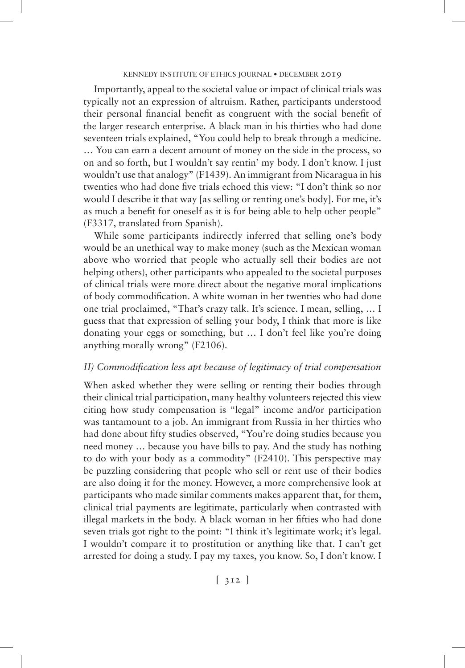Importantly, appeal to the societal value or impact of clinical trials was typically not an expression of altruism. Rather, participants understood their personal financial benefit as congruent with the social benefit of the larger research enterprise. A black man in his thirties who had done seventeen trials explained, "You could help to break through a medicine. … You can earn a decent amount of money on the side in the process, so on and so forth, but I wouldn't say rentin' my body. I don't know. I just wouldn't use that analogy" (F1439). An immigrant from Nicaragua in his twenties who had done five trials echoed this view: "I don't think so nor would I describe it that way [as selling or renting one's body]. For me, it's as much a benefit for oneself as it is for being able to help other people" (F3317, translated from Spanish).

While some participants indirectly inferred that selling one's body would be an unethical way to make money (such as the Mexican woman above who worried that people who actually sell their bodies are not helping others), other participants who appealed to the societal purposes of clinical trials were more direct about the negative moral implications of body commodification. A white woman in her twenties who had done one trial proclaimed, "That's crazy talk. It's science. I mean, selling, … I guess that that expression of selling your body, I think that more is like donating your eggs or something, but … I don't feel like you're doing anything morally wrong" (F2106).

# *II) Commodification less apt because of legitimacy of trial compensation*

When asked whether they were selling or renting their bodies through their clinical trial participation, many healthy volunteers rejected this view citing how study compensation is "legal" income and/or participation was tantamount to a job. An immigrant from Russia in her thirties who had done about fifty studies observed, "You're doing studies because you need money … because you have bills to pay. And the study has nothing to do with your body as a commodity" (F2410). This perspective may be puzzling considering that people who sell or rent use of their bodies are also doing it for the money. However, a more comprehensive look at participants who made similar comments makes apparent that, for them, clinical trial payments are legitimate, particularly when contrasted with illegal markets in the body. A black woman in her fifties who had done seven trials got right to the point: "I think it's legitimate work; it's legal. I wouldn't compare it to prostitution or anything like that. I can't get arrested for doing a study. I pay my taxes, you know. So, I don't know. I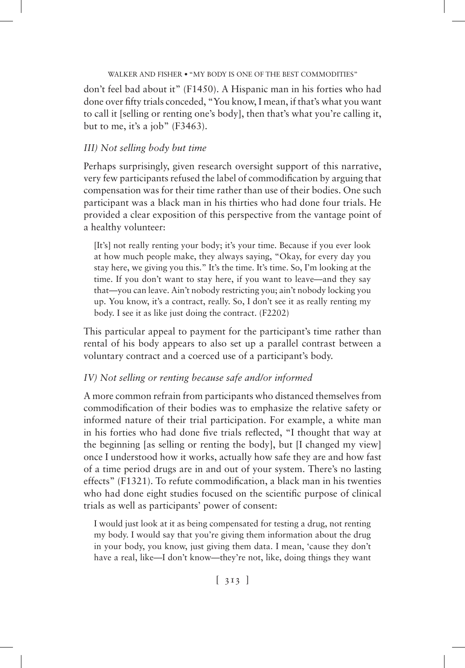don't feel bad about it" (F1450). A Hispanic man in his forties who had done over fifty trials conceded, "You know, I mean, if that's what you want to call it [selling or renting one's body], then that's what you're calling it, but to me, it's a job"  $(F3463)$ .

# *III) Not selling body but time*

Perhaps surprisingly, given research oversight support of this narrative, very few participants refused the label of commodification by arguing that compensation was for their time rather than use of their bodies. One such participant was a black man in his thirties who had done four trials. He provided a clear exposition of this perspective from the vantage point of a healthy volunteer:

[It's] not really renting your body; it's your time. Because if you ever look at how much people make, they always saying, "Okay, for every day you stay here, we giving you this." It's the time. It's time. So, I'm looking at the time. If you don't want to stay here, if you want to leave—and they say that—you can leave. Ain't nobody restricting you; ain't nobody locking you up. You know, it's a contract, really. So, I don't see it as really renting my body. I see it as like just doing the contract. (F2202)

This particular appeal to payment for the participant's time rather than rental of his body appears to also set up a parallel contrast between a voluntary contract and a coerced use of a participant's body.

# *IV) Not selling or renting because safe and/or informed*

A more common refrain from participants who distanced themselves from commodification of their bodies was to emphasize the relative safety or informed nature of their trial participation. For example, a white man in his forties who had done five trials reflected, "I thought that way at the beginning [as selling or renting the body], but [I changed my view] once I understood how it works, actually how safe they are and how fast of a time period drugs are in and out of your system. There's no lasting effects" (F1321). To refute commodification, a black man in his twenties who had done eight studies focused on the scientific purpose of clinical trials as well as participants' power of consent:

I would just look at it as being compensated for testing a drug, not renting my body. I would say that you're giving them information about the drug in your body, you know, just giving them data. I mean, 'cause they don't have a real, like—I don't know—they're not, like, doing things they want

 $[313]$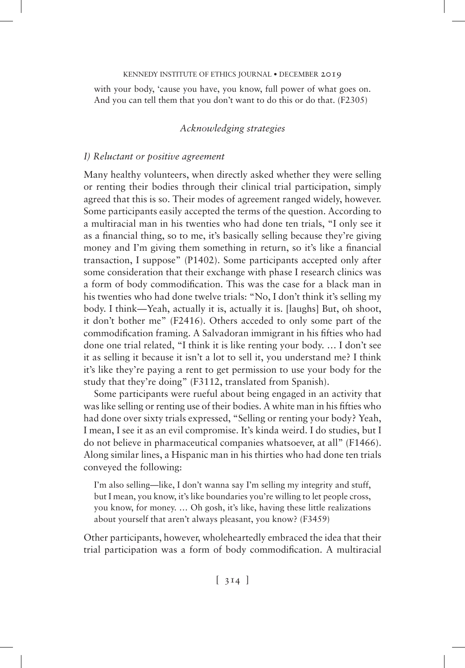### KENNEDY INSTITUTE OF ETHICS JOURNAL • DECEMBER 2019

with your body, 'cause you have, you know, full power of what goes on. And you can tell them that you don't want to do this or do that. (F2305)

# *Acknowledging strategies*

# *I) Reluctant or positive agreement*

Many healthy volunteers, when directly asked whether they were selling or renting their bodies through their clinical trial participation, simply agreed that this is so. Their modes of agreement ranged widely, however. Some participants easily accepted the terms of the question. According to a multiracial man in his twenties who had done ten trials, "I only see it as a financial thing, so to me, it's basically selling because they're giving money and I'm giving them something in return, so it's like a financial transaction, I suppose" (P1402). Some participants accepted only after some consideration that their exchange with phase I research clinics was a form of body commodification. This was the case for a black man in his twenties who had done twelve trials: "No, I don't think it's selling my body. I think—Yeah, actually it is, actually it is. [laughs] But, oh shoot, it don't bother me" (F2416). Others acceded to only some part of the commodification framing. A Salvadoran immigrant in his fifties who had done one trial related, "I think it is like renting your body. … I don't see it as selling it because it isn't a lot to sell it, you understand me? I think it's like they're paying a rent to get permission to use your body for the study that they're doing" (F3112, translated from Spanish).

Some participants were rueful about being engaged in an activity that was like selling or renting use of their bodies. A white man in his fifties who had done over sixty trials expressed, "Selling or renting your body? Yeah, I mean, I see it as an evil compromise. It's kinda weird. I do studies, but I do not believe in pharmaceutical companies whatsoever, at all" (F1466). Along similar lines, a Hispanic man in his thirties who had done ten trials conveyed the following:

I'm also selling—like, I don't wanna say I'm selling my integrity and stuff, but I mean, you know, it's like boundaries you're willing to let people cross, you know, for money. … Oh gosh, it's like, having these little realizations about yourself that aren't always pleasant, you know? (F3459)

Other participants, however, wholeheartedly embraced the idea that their trial participation was a form of body commodification. A multiracial

 $\begin{bmatrix} 3I4 \end{bmatrix}$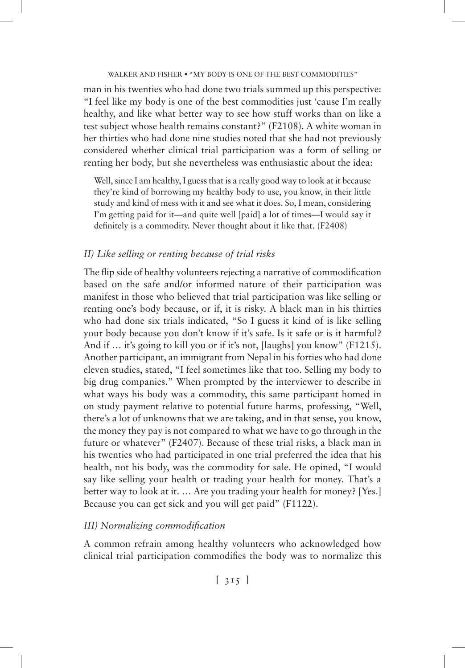man in his twenties who had done two trials summed up this perspective: "I feel like my body is one of the best commodities just 'cause I'm really healthy, and like what better way to see how stuff works than on like a test subject whose health remains constant?" (F2108). A white woman in her thirties who had done nine studies noted that she had not previously considered whether clinical trial participation was a form of selling or renting her body, but she nevertheless was enthusiastic about the idea:

Well, since I am healthy, I guess that is a really good way to look at it because they're kind of borrowing my healthy body to use, you know, in their little study and kind of mess with it and see what it does. So, I mean, considering I'm getting paid for it—and quite well [paid] a lot of times—I would say it definitely is a commodity. Never thought about it like that. (F2408)

# *II) Like selling or renting because of trial risks*

The flip side of healthy volunteers rejecting a narrative of commodification based on the safe and/or informed nature of their participation was manifest in those who believed that trial participation was like selling or renting one's body because, or if, it is risky. A black man in his thirties who had done six trials indicated, "So I guess it kind of is like selling your body because you don't know if it's safe. Is it safe or is it harmful? And if … it's going to kill you or if it's not, [laughs] you know" (F1215). Another participant, an immigrant from Nepal in his forties who had done eleven studies, stated, "I feel sometimes like that too. Selling my body to big drug companies." When prompted by the interviewer to describe in what ways his body was a commodity, this same participant homed in on study payment relative to potential future harms, professing, "Well, there's a lot of unknowns that we are taking, and in that sense, you know, the money they pay is not compared to what we have to go through in the future or whatever" (F2407). Because of these trial risks, a black man in his twenties who had participated in one trial preferred the idea that his health, not his body, was the commodity for sale. He opined, "I would say like selling your health or trading your health for money. That's a better way to look at it. … Are you trading your health for money? [Yes.] Because you can get sick and you will get paid" (F1122).

# *III) Normalizing commodification*

A common refrain among healthy volunteers who acknowledged how clinical trial participation commodifies the body was to normalize this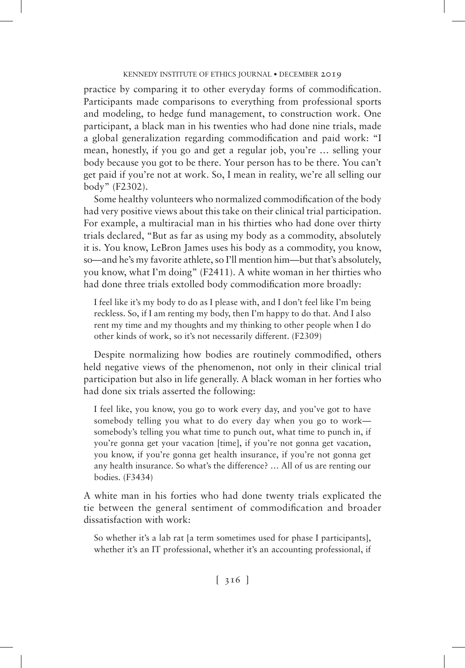practice by comparing it to other everyday forms of commodification. Participants made comparisons to everything from professional sports and modeling, to hedge fund management, to construction work. One participant, a black man in his twenties who had done nine trials, made a global generalization regarding commodification and paid work: "I mean, honestly, if you go and get a regular job, you're … selling your body because you got to be there. Your person has to be there. You can't get paid if you're not at work. So, I mean in reality, we're all selling our body" (F2302).

Some healthy volunteers who normalized commodification of the body had very positive views about this take on their clinical trial participation. For example, a multiracial man in his thirties who had done over thirty trials declared, "But as far as using my body as a commodity, absolutely it is. You know, LeBron James uses his body as a commodity, you know, so—and he's my favorite athlete, so I'll mention him—but that's absolutely, you know, what I'm doing" (F2411). A white woman in her thirties who had done three trials extolled body commodification more broadly:

I feel like it's my body to do as I please with, and I don't feel like I'm being reckless. So, if I am renting my body, then I'm happy to do that. And I also rent my time and my thoughts and my thinking to other people when I do other kinds of work, so it's not necessarily different. (F2309)

Despite normalizing how bodies are routinely commodified, others held negative views of the phenomenon, not only in their clinical trial participation but also in life generally. A black woman in her forties who had done six trials asserted the following:

I feel like, you know, you go to work every day, and you've got to have somebody telling you what to do every day when you go to work somebody's telling you what time to punch out, what time to punch in, if you're gonna get your vacation [time], if you're not gonna get vacation, you know, if you're gonna get health insurance, if you're not gonna get any health insurance. So what's the difference? … All of us are renting our bodies. (F3434)

A white man in his forties who had done twenty trials explicated the tie between the general sentiment of commodification and broader dissatisfaction with work:

So whether it's a lab rat [a term sometimes used for phase I participants], whether it's an IT professional, whether it's an accounting professional, if

[ 316 ]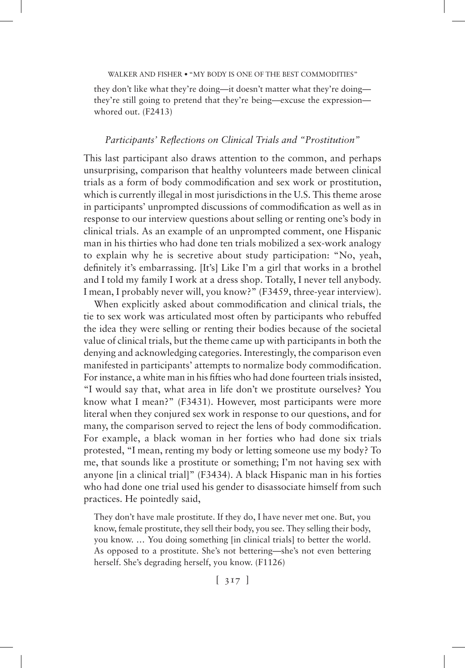they don't like what they're doing—it doesn't matter what they're doing they're still going to pretend that they're being—excuse the expression whored out. (F2413)

#### *Participants' Reflections on Clinical Trials and "Prostitution"*

This last participant also draws attention to the common, and perhaps unsurprising, comparison that healthy volunteers made between clinical trials as a form of body commodification and sex work or prostitution, which is currently illegal in most jurisdictions in the U.S. This theme arose in participants' unprompted discussions of commodification as well as in response to our interview questions about selling or renting one's body in clinical trials. As an example of an unprompted comment, one Hispanic man in his thirties who had done ten trials mobilized a sex-work analogy to explain why he is secretive about study participation: "No, yeah, definitely it's embarrassing. [It's] Like I'm a girl that works in a brothel and I told my family I work at a dress shop. Totally, I never tell anybody. I mean, I probably never will, you know?" (F3459, three-year interview).

When explicitly asked about commodification and clinical trials, the tie to sex work was articulated most often by participants who rebuffed the idea they were selling or renting their bodies because of the societal value of clinical trials, but the theme came up with participants in both the denying and acknowledging categories. Interestingly, the comparison even manifested in participants' attempts to normalize body commodification. For instance, a white man in his fifties who had done fourteen trials insisted, "I would say that, what area in life don't we prostitute ourselves? You know what I mean?" (F3431). However, most participants were more literal when they conjured sex work in response to our questions, and for many, the comparison served to reject the lens of body commodification. For example, a black woman in her forties who had done six trials protested, "I mean, renting my body or letting someone use my body? To me, that sounds like a prostitute or something; I'm not having sex with anyone [in a clinical trial]" (F3434). A black Hispanic man in his forties who had done one trial used his gender to disassociate himself from such practices. He pointedly said,

They don't have male prostitute. If they do, I have never met one. But, you know, female prostitute, they sell their body, you see. They selling their body, you know. … You doing something [in clinical trials] to better the world. As opposed to a prostitute. She's not bettering—she's not even bettering herself. She's degrading herself, you know. (F1126)

 $[317]$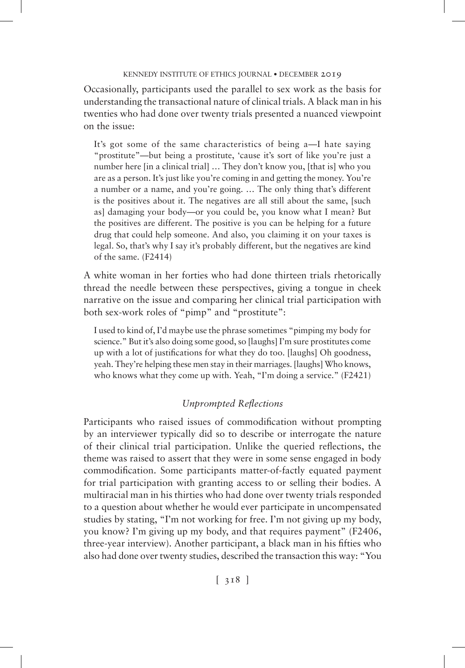Occasionally, participants used the parallel to sex work as the basis for understanding the transactional nature of clinical trials. A black man in his twenties who had done over twenty trials presented a nuanced viewpoint on the issue:

It's got some of the same characteristics of being a—I hate saying "prostitute"—but being a prostitute, 'cause it's sort of like you're just a number here [in a clinical trial] … They don't know you, [that is] who you are as a person. It's just like you're coming in and getting the money. You're a number or a name, and you're going. … The only thing that's different is the positives about it. The negatives are all still about the same, [such as] damaging your body—or you could be, you know what I mean? But the positives are different. The positive is you can be helping for a future drug that could help someone. And also, you claiming it on your taxes is legal. So, that's why I say it's probably different, but the negatives are kind of the same. (F2414)

A white woman in her forties who had done thirteen trials rhetorically thread the needle between these perspectives, giving a tongue in cheek narrative on the issue and comparing her clinical trial participation with both sex-work roles of "pimp" and "prostitute":

I used to kind of, I'd maybe use the phrase sometimes "pimping my body for science." But it's also doing some good, so [laughs] I'm sure prostitutes come up with a lot of justifications for what they do too. [laughs] Oh goodness, yeah. They're helping these men stay in their marriages. [laughs] Who knows, who knows what they come up with. Yeah, "I'm doing a service." (F2421)

# *Unprompted Reflections*

Participants who raised issues of commodification without prompting by an interviewer typically did so to describe or interrogate the nature of their clinical trial participation. Unlike the queried reflections, the theme was raised to assert that they were in some sense engaged in body commodification. Some participants matter-of-factly equated payment for trial participation with granting access to or selling their bodies. A multiracial man in his thirties who had done over twenty trials responded to a question about whether he would ever participate in uncompensated studies by stating, "I'm not working for free. I'm not giving up my body, you know? I'm giving up my body, and that requires payment" (F2406, three-year interview). Another participant, a black man in his fifties who also had done over twenty studies, described the transaction this way: "You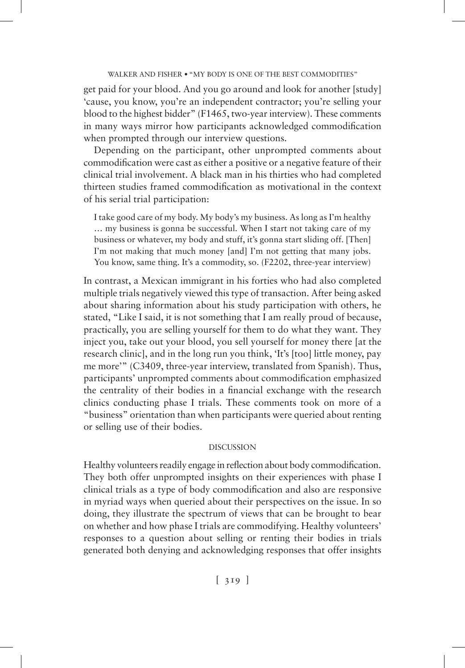get paid for your blood. And you go around and look for another [study] 'cause, you know, you're an independent contractor; you're selling your blood to the highest bidder" (F1465, two-year interview). These comments in many ways mirror how participants acknowledged commodification when prompted through our interview questions.

Depending on the participant, other unprompted comments about commodification were cast as either a positive or a negative feature of their clinical trial involvement. A black man in his thirties who had completed thirteen studies framed commodification as motivational in the context of his serial trial participation:

I take good care of my body. My body's my business. As long as I'm healthy … my business is gonna be successful. When I start not taking care of my business or whatever, my body and stuff, it's gonna start sliding off. [Then] I'm not making that much money [and] I'm not getting that many jobs. You know, same thing. It's a commodity, so. (F2202, three-year interview)

In contrast, a Mexican immigrant in his forties who had also completed multiple trials negatively viewed this type of transaction. After being asked about sharing information about his study participation with others, he stated, "Like I said, it is not something that I am really proud of because, practically, you are selling yourself for them to do what they want. They inject you, take out your blood, you sell yourself for money there [at the research clinic], and in the long run you think, 'It's [too] little money, pay me more'" (C3409, three-year interview, translated from Spanish). Thus, participants' unprompted comments about commodification emphasized the centrality of their bodies in a financial exchange with the research clinics conducting phase I trials. These comments took on more of a "business" orientation than when participants were queried about renting or selling use of their bodies.

# DISCUSSION

Healthy volunteers readily engage in reflection about body commodification. They both offer unprompted insights on their experiences with phase I clinical trials as a type of body commodification and also are responsive in myriad ways when queried about their perspectives on the issue. In so doing, they illustrate the spectrum of views that can be brought to bear on whether and how phase I trials are commodifying. Healthy volunteers' responses to a question about selling or renting their bodies in trials generated both denying and acknowledging responses that offer insights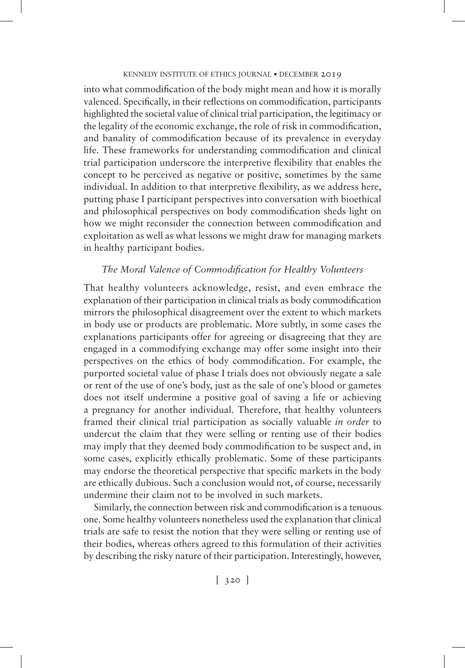### KENNEDY INSTITUTE OF ETHICS JOURNAL • DECEMBER 2019

into what commodification of the body might mean and how it is morally valenced. Specifically, in their reflections on commodification, participants highlighted the societal value of clinical trial participation, the legitimacy or the legality of the economic exchange, the role of risk in commodification, and banality of commodification because of its prevalence in everyday life. These frameworks for understanding commodification and clinical trial participation underscore the interpretive flexibility that enables the concept to be perceived as negative or positive, sometimes by the same individual. In addition to that interpretive flexibility, as we address here, putting phase I participant perspectives into conversation with bioethical and philosophical perspectives on body commodification sheds light on how we might reconsider the connection between commodification and exploitation as well as what lessons we might draw for managing markets in healthy participant bodies.

# *The Moral Valence of Commodification for Healthy Volunteers*

That healthy volunteers acknowledge, resist, and even embrace the explanation of their participation in clinical trials as body commodification mirrors the philosophical disagreement over the extent to which markets in body use or products are problematic. More subtly, in some cases the explanations participants offer for agreeing or disagreeing that they are engaged in a commodifying exchange may offer some insight into their perspectives on the ethics of body commodification. For example, the purported societal value of phase I trials does not obviously negate a sale or rent of the use of one's body, just as the sale of one's blood or gametes does not itself undermine a positive goal of saving a life or achieving a pregnancy for another individual. Therefore, that healthy volunteers framed their clinical trial participation as socially valuable *in order* to undercut the claim that they were selling or renting use of their bodies may imply that they deemed body commodification to be suspect and, in some cases, explicitly ethically problematic. Some of these participants may endorse the theoretical perspective that specific markets in the body are ethically dubious. Such a conclusion would not, of course, necessarily undermine their claim not to be involved in such markets.

Similarly, the connection between risk and commodification is a tenuous one. Some healthy volunteers nonetheless used the explanation that clinical trials are safe to resist the notion that they were selling or renting use of their bodies, whereas others agreed to this formulation of their activities by describing the risky nature of their participation. Interestingly, however,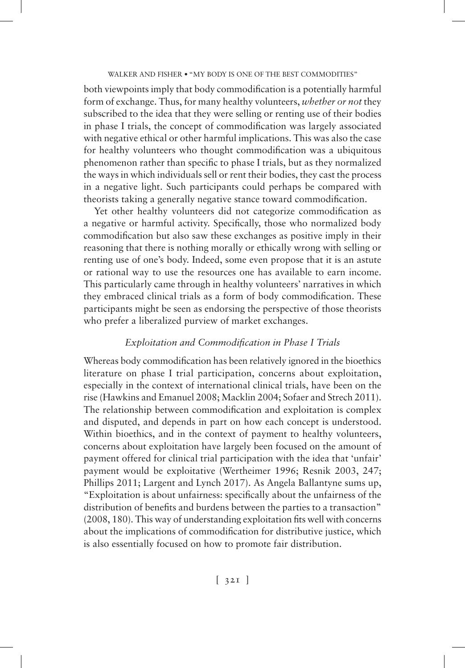both viewpoints imply that body commodification is a potentially harmful form of exchange. Thus, for many healthy volunteers, *whether or not* they subscribed to the idea that they were selling or renting use of their bodies in phase I trials, the concept of commodification was largely associated with negative ethical or other harmful implications. This was also the case for healthy volunteers who thought commodification was a ubiquitous phenomenon rather than specific to phase I trials, but as they normalized the ways in which individuals sell or rent their bodies, they cast the process in a negative light. Such participants could perhaps be compared with theorists taking a generally negative stance toward commodification.

Yet other healthy volunteers did not categorize commodification as a negative or harmful activity. Specifically, those who normalized body commodification but also saw these exchanges as positive imply in their reasoning that there is nothing morally or ethically wrong with selling or renting use of one's body. Indeed, some even propose that it is an astute or rational way to use the resources one has available to earn income. This particularly came through in healthy volunteers' narratives in which they embraced clinical trials as a form of body commodification. These participants might be seen as endorsing the perspective of those theorists who prefer a liberalized purview of market exchanges.

# *Exploitation and Commodification in Phase I Trials*

Whereas body commodification has been relatively ignored in the bioethics literature on phase I trial participation, concerns about exploitation, especially in the context of international clinical trials, have been on the rise (Hawkins and Emanuel 2008; Macklin 2004; Sofaer and Strech 2011). The relationship between commodification and exploitation is complex and disputed, and depends in part on how each concept is understood. Within bioethics, and in the context of payment to healthy volunteers, concerns about exploitation have largely been focused on the amount of payment offered for clinical trial participation with the idea that 'unfair' payment would be exploitative (Wertheimer 1996; Resnik 2003, 247; Phillips 2011; Largent and Lynch 2017). As Angela Ballantyne sums up, "Exploitation is about unfairness: specifically about the unfairness of the distribution of benefits and burdens between the parties to a transaction" (2008, 180). This way of understanding exploitation fits well with concerns about the implications of commodification for distributive justice, which is also essentially focused on how to promote fair distribution.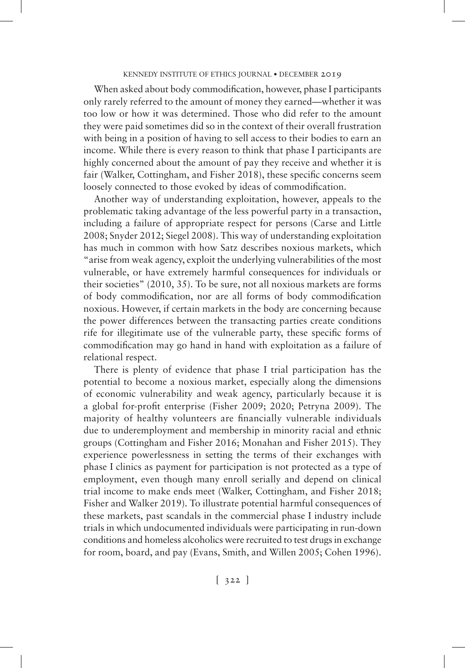When asked about body commodification, however, phase I participants only rarely referred to the amount of money they earned—whether it was too low or how it was determined. Those who did refer to the amount they were paid sometimes did so in the context of their overall frustration with being in a position of having to sell access to their bodies to earn an income. While there is every reason to think that phase I participants are highly concerned about the amount of pay they receive and whether it is fair (Walker, Cottingham, and Fisher 2018), these specific concerns seem loosely connected to those evoked by ideas of commodification.

Another way of understanding exploitation, however, appeals to the problematic taking advantage of the less powerful party in a transaction, including a failure of appropriate respect for persons (Carse and Little 2008; Snyder 2012; Siegel 2008). This way of understanding exploitation has much in common with how Satz describes noxious markets, which "arise from weak agency, exploit the underlying vulnerabilities of the most vulnerable, or have extremely harmful consequences for individuals or their societies" (2010, 35). To be sure, not all noxious markets are forms of body commodification, nor are all forms of body commodification noxious. However, if certain markets in the body are concerning because the power differences between the transacting parties create conditions rife for illegitimate use of the vulnerable party, these specific forms of commodification may go hand in hand with exploitation as a failure of relational respect.

There is plenty of evidence that phase I trial participation has the potential to become a noxious market, especially along the dimensions of economic vulnerability and weak agency, particularly because it is a global for-profit enterprise (Fisher 2009; 2020; Petryna 2009). The majority of healthy volunteers are financially vulnerable individuals due to underemployment and membership in minority racial and ethnic groups (Cottingham and Fisher 2016; Monahan and Fisher 2015). They experience powerlessness in setting the terms of their exchanges with phase I clinics as payment for participation is not protected as a type of employment, even though many enroll serially and depend on clinical trial income to make ends meet (Walker, Cottingham, and Fisher 2018; Fisher and Walker 2019). To illustrate potential harmful consequences of these markets, past scandals in the commercial phase I industry include trials in which undocumented individuals were participating in run-down conditions and homeless alcoholics were recruited to test drugs in exchange for room, board, and pay (Evans, Smith, and Willen 2005; Cohen 1996).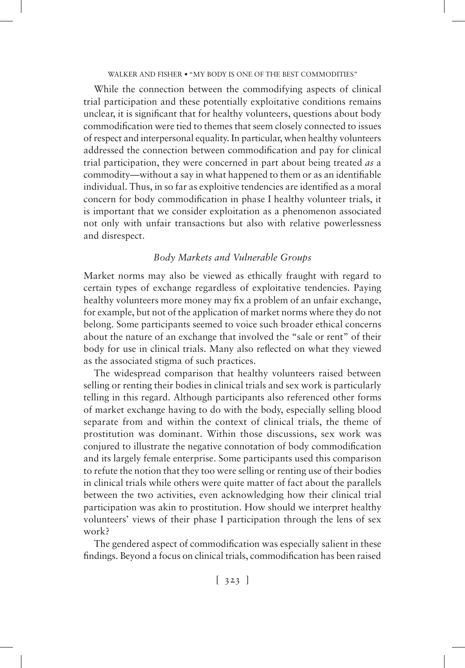While the connection between the commodifying aspects of clinical trial participation and these potentially exploitative conditions remains unclear, it is significant that for healthy volunteers, questions about body commodification were tied to themes that seem closely connected to issues of respect and interpersonal equality. In particular, when healthy volunteers addressed the connection between commodification and pay for clinical trial participation, they were concerned in part about being treated *as* a commodity—without a say in what happened to them or as an identifiable individual. Thus, in so far as exploitive tendencies are identified as a moral concern for body commodification in phase I healthy volunteer trials, it is important that we consider exploitation as a phenomenon associated not only with unfair transactions but also with relative powerlessness and disrespect.

# *Body Markets and Vulnerable Groups*

Market norms may also be viewed as ethically fraught with regard to certain types of exchange regardless of exploitative tendencies. Paying healthy volunteers more money may fix a problem of an unfair exchange, for example, but not of the application of market norms where they do not belong. Some participants seemed to voice such broader ethical concerns about the nature of an exchange that involved the "sale or rent" of their body for use in clinical trials. Many also reflected on what they viewed as the associated stigma of such practices.

The widespread comparison that healthy volunteers raised between selling or renting their bodies in clinical trials and sex work is particularly telling in this regard. Although participants also referenced other forms of market exchange having to do with the body, especially selling blood separate from and within the context of clinical trials, the theme of prostitution was dominant. Within those discussions, sex work was conjured to illustrate the negative connotation of body commodification and its largely female enterprise. Some participants used this comparison to refute the notion that they too were selling or renting use of their bodies in clinical trials while others were quite matter of fact about the parallels between the two activities, even acknowledging how their clinical trial participation was akin to prostitution. How should we interpret healthy volunteers' views of their phase I participation through the lens of sex work?

The gendered aspect of commodification was especially salient in these findings. Beyond a focus on clinical trials, commodification has been raised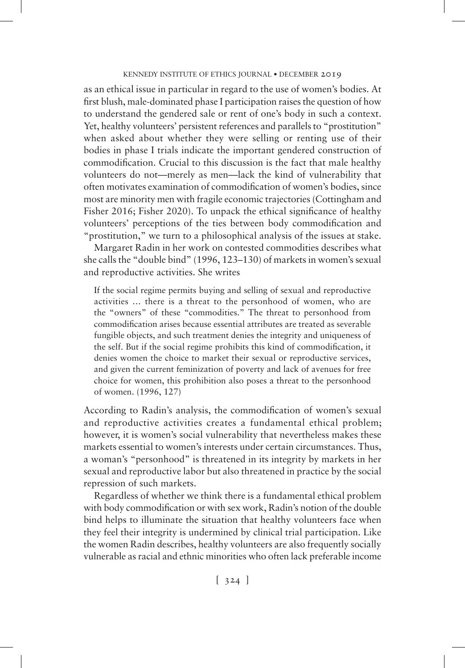as an ethical issue in particular in regard to the use of women's bodies. At first blush, male-dominated phase I participation raises the question of how to understand the gendered sale or rent of one's body in such a context. Yet, healthy volunteers' persistent references and parallels to "prostitution" when asked about whether they were selling or renting use of their bodies in phase I trials indicate the important gendered construction of commodification. Crucial to this discussion is the fact that male healthy volunteers do not—merely as men—lack the kind of vulnerability that often motivates examination of commodification of women's bodies, since most are minority men with fragile economic trajectories (Cottingham and Fisher 2016; Fisher 2020). To unpack the ethical significance of healthy volunteers' perceptions of the ties between body commodification and "prostitution," we turn to a philosophical analysis of the issues at stake.

Margaret Radin in her work on contested commodities describes what she calls the "double bind" (1996, 123–130) of markets in women's sexual and reproductive activities. She writes

If the social regime permits buying and selling of sexual and reproductive activities … there is a threat to the personhood of women, who are the "owners" of these "commodities." The threat to personhood from commodification arises because essential attributes are treated as severable fungible objects, and such treatment denies the integrity and uniqueness of the self. But if the social regime prohibits this kind of commodification, it denies women the choice to market their sexual or reproductive services, and given the current feminization of poverty and lack of avenues for free choice for women, this prohibition also poses a threat to the personhood of women. (1996, 127)

According to Radin's analysis, the commodification of women's sexual and reproductive activities creates a fundamental ethical problem; however, it is women's social vulnerability that nevertheless makes these markets essential to women's interests under certain circumstances. Thus, a woman's "personhood" is threatened in its integrity by markets in her sexual and reproductive labor but also threatened in practice by the social repression of such markets.

Regardless of whether we think there is a fundamental ethical problem with body commodification or with sex work, Radin's notion of the double bind helps to illuminate the situation that healthy volunteers face when they feel their integrity is undermined by clinical trial participation. Like the women Radin describes, healthy volunteers are also frequently socially vulnerable as racial and ethnic minorities who often lack preferable income

 $\begin{bmatrix} 324 \end{bmatrix}$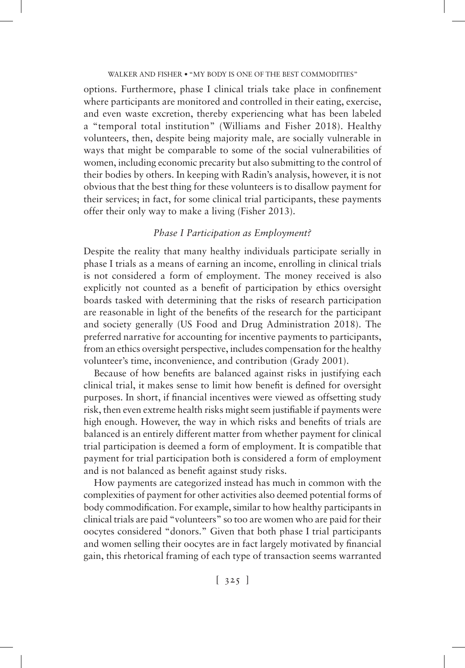options. Furthermore, phase I clinical trials take place in confinement where participants are monitored and controlled in their eating, exercise, and even waste excretion, thereby experiencing what has been labeled a "temporal total institution" (Williams and Fisher 2018). Healthy volunteers, then, despite being majority male, are socially vulnerable in ways that might be comparable to some of the social vulnerabilities of women, including economic precarity but also submitting to the control of their bodies by others. In keeping with Radin's analysis, however, it is not obvious that the best thing for these volunteers is to disallow payment for their services; in fact, for some clinical trial participants, these payments offer their only way to make a living (Fisher 2013).

# *Phase I Participation as Employment?*

Despite the reality that many healthy individuals participate serially in phase I trials as a means of earning an income, enrolling in clinical trials is not considered a form of employment. The money received is also explicitly not counted as a benefit of participation by ethics oversight boards tasked with determining that the risks of research participation are reasonable in light of the benefits of the research for the participant and society generally (US Food and Drug Administration 2018). The preferred narrative for accounting for incentive payments to participants, from an ethics oversight perspective, includes compensation for the healthy volunteer's time, inconvenience, and contribution (Grady 2001).

Because of how benefits are balanced against risks in justifying each clinical trial, it makes sense to limit how benefit is defined for oversight purposes. In short, if financial incentives were viewed as offsetting study risk, then even extreme health risks might seem justifiable if payments were high enough. However, the way in which risks and benefits of trials are balanced is an entirely different matter from whether payment for clinical trial participation is deemed a form of employment. It is compatible that payment for trial participation both is considered a form of employment and is not balanced as benefit against study risks.

How payments are categorized instead has much in common with the complexities of payment for other activities also deemed potential forms of body commodification. For example, similar to how healthy participants in clinical trials are paid "volunteers" so too are women who are paid for their oocytes considered "donors." Given that both phase I trial participants and women selling their oocytes are in fact largely motivated by financial gain, this rhetorical framing of each type of transaction seems warranted

 $[325]$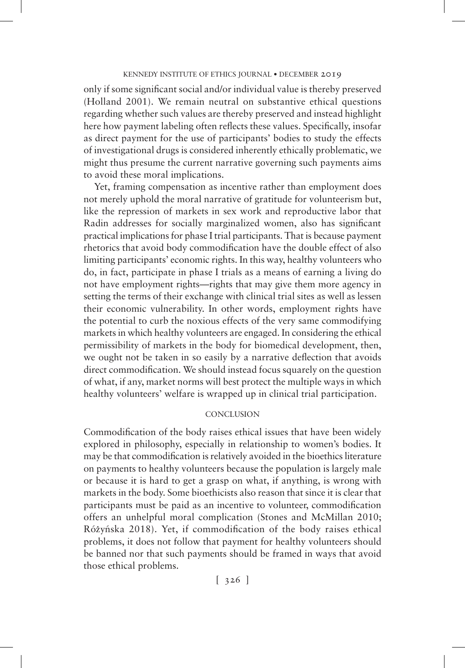only if some significant social and/or individual value is thereby preserved (Holland 2001). We remain neutral on substantive ethical questions regarding whether such values are thereby preserved and instead highlight here how payment labeling often reflects these values. Specifically, insofar as direct payment for the use of participants' bodies to study the effects of investigational drugs is considered inherently ethically problematic, we might thus presume the current narrative governing such payments aims to avoid these moral implications.

Yet, framing compensation as incentive rather than employment does not merely uphold the moral narrative of gratitude for volunteerism but, like the repression of markets in sex work and reproductive labor that Radin addresses for socially marginalized women, also has significant practical implications for phase I trial participants. That is because payment rhetorics that avoid body commodification have the double effect of also limiting participants' economic rights. In this way, healthy volunteers who do, in fact, participate in phase I trials as a means of earning a living do not have employment rights—rights that may give them more agency in setting the terms of their exchange with clinical trial sites as well as lessen their economic vulnerability. In other words, employment rights have the potential to curb the noxious effects of the very same commodifying markets in which healthy volunteers are engaged. In considering the ethical permissibility of markets in the body for biomedical development, then, we ought not be taken in so easily by a narrative deflection that avoids direct commodification. We should instead focus squarely on the question of what, if any, market norms will best protect the multiple ways in which healthy volunteers' welfare is wrapped up in clinical trial participation.

#### **CONCLUSION**

Commodification of the body raises ethical issues that have been widely explored in philosophy, especially in relationship to women's bodies. It may be that commodification is relatively avoided in the bioethics literature on payments to healthy volunteers because the population is largely male or because it is hard to get a grasp on what, if anything, is wrong with markets in the body. Some bioethicists also reason that since it is clear that participants must be paid as an incentive to volunteer, commodification offers an unhelpful moral complication (Stones and McMillan 2010; eners an american moral compression (other and incriminal 2010),<br>Różyńska 2018). Yet, if commodification of the body raises ethical problems, it does not follow that payment for healthy volunteers should be banned nor that such payments should be framed in ways that avoid those ethical problems.

[ 326 ]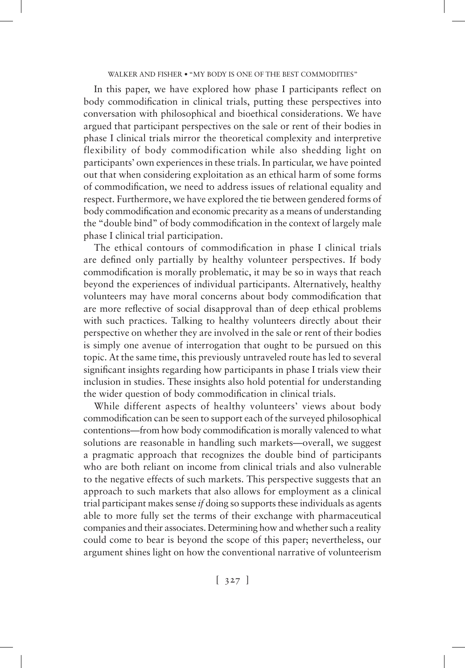In this paper, we have explored how phase I participants reflect on body commodification in clinical trials, putting these perspectives into conversation with philosophical and bioethical considerations. We have argued that participant perspectives on the sale or rent of their bodies in phase I clinical trials mirror the theoretical complexity and interpretive flexibility of body commodification while also shedding light on participants' own experiences in these trials. In particular, we have pointed out that when considering exploitation as an ethical harm of some forms of commodification, we need to address issues of relational equality and respect. Furthermore, we have explored the tie between gendered forms of body commodification and economic precarity as a means of understanding the "double bind" of body commodification in the context of largely male phase I clinical trial participation.

The ethical contours of commodification in phase I clinical trials are defined only partially by healthy volunteer perspectives. If body commodification is morally problematic, it may be so in ways that reach beyond the experiences of individual participants. Alternatively, healthy volunteers may have moral concerns about body commodification that are more reflective of social disapproval than of deep ethical problems with such practices. Talking to healthy volunteers directly about their perspective on whether they are involved in the sale or rent of their bodies is simply one avenue of interrogation that ought to be pursued on this topic. At the same time, this previously untraveled route has led to several significant insights regarding how participants in phase I trials view their inclusion in studies. These insights also hold potential for understanding the wider question of body commodification in clinical trials.

While different aspects of healthy volunteers' views about body commodification can be seen to support each of the surveyed philosophical contentions—from how body commodification is morally valenced to what solutions are reasonable in handling such markets—overall, we suggest a pragmatic approach that recognizes the double bind of participants who are both reliant on income from clinical trials and also vulnerable to the negative effects of such markets. This perspective suggests that an approach to such markets that also allows for employment as a clinical trial participant makes sense *if* doing so supports these individuals as agents able to more fully set the terms of their exchange with pharmaceutical companies and their associates. Determining how and whether such a reality could come to bear is beyond the scope of this paper; nevertheless, our argument shines light on how the conventional narrative of volunteerism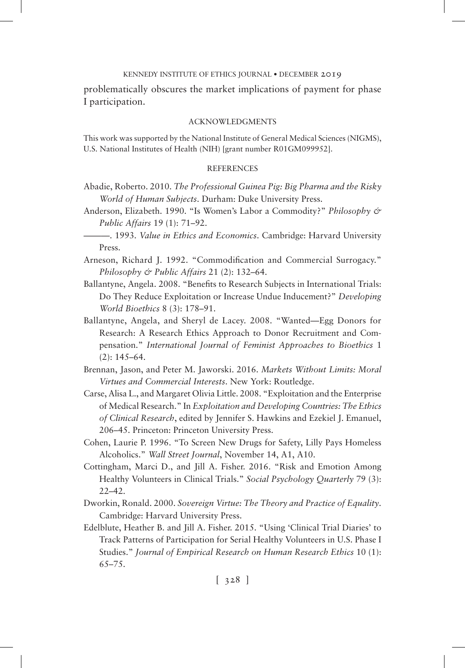problematically obscures the market implications of payment for phase I participation.

### ACKNOWLEDGMENTS

This work was supported by the National Institute of General Medical Sciences (NIGMS), U.S. National Institutes of Health (NIH) [grant number R01GM099952].

#### **REFERENCES**

- Abadie, Roberto. 2010. *The Professional Guinea Pig: Big Pharma and the Risky World of Human Subjects*. Durham: Duke University Press.
- Anderson, Elizabeth. 1990. "Is Women's Labor a Commodity?" *Philosophy & Public Affairs* 19 (1): 71–92.
- ———. 1993. *Value in Ethics and Economics*. Cambridge: Harvard University Press.
- Arneson, Richard J. 1992. "Commodification and Commercial Surrogacy." *Philosophy & Public Affairs* 21 (2): 132–64.
- Ballantyne, Angela. 2008. "Benefits to Research Subjects in International Trials: Do They Reduce Exploitation or Increase Undue Inducement?" *Developing World Bioethics* 8 (3): 178–91.
- Ballantyne, Angela, and Sheryl de Lacey. 2008. "Wanted—Egg Donors for Research: A Research Ethics Approach to Donor Recruitment and Compensation." *International Journal of Feminist Approaches to Bioethics* 1 (2): 145–64.
- Brennan, Jason, and Peter M. Jaworski. 2016. *Markets Without Limits: Moral Virtues and Commercial Interests*. New York: Routledge.
- Carse, Alisa L., and Margaret Olivia Little. 2008. "Exploitation and the Enterprise of Medical Research." In *Exploitation and Developing Countries: The Ethics of Clinical Research*, edited by Jennifer S. Hawkins and Ezekiel J. Emanuel, 206–45. Princeton: Princeton University Press.
- Cohen, Laurie P. 1996. "To Screen New Drugs for Safety, Lilly Pays Homeless Alcoholics." *Wall Street Journal*, November 14, A1, A10.
- Cottingham, Marci D., and Jill A. Fisher. 2016. "Risk and Emotion Among Healthy Volunteers in Clinical Trials." *Social Psychology Quarterly* 79 (3): 22–42.
- Dworkin, Ronald. 2000. *Sovereign Virtue: The Theory and Practice of Equality*. Cambridge: Harvard University Press.
- Edelblute, Heather B. and Jill A. Fisher. 2015. "Using 'Clinical Trial Diaries' to Track Patterns of Participation for Serial Healthy Volunteers in U.S. Phase I Studies." *Journal of Empirical Research on Human Research Ethics* 10 (1): 65–75.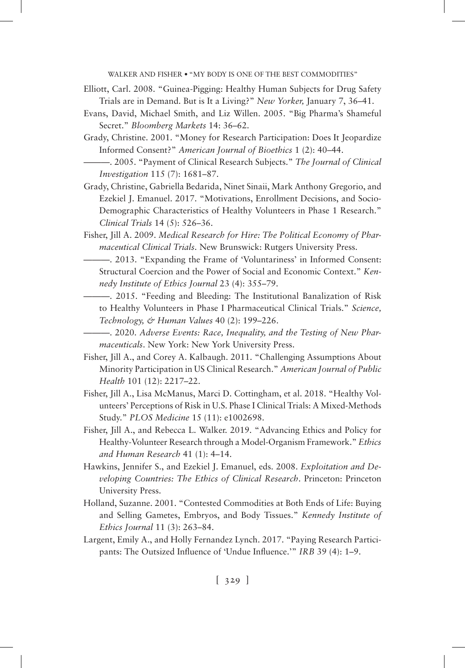- Elliott, Carl. 2008. "Guinea-Pigging: Healthy Human Subjects for Drug Safety Trials are in Demand. But is It a Living?" *New Yorker,* January 7, 36–41.
- Evans, David, Michael Smith, and Liz Willen. 2005. "Big Pharma's Shameful Secret." *Bloomberg Markets* 14: 36–62.
- Grady, Christine. 2001. "Money for Research Participation: Does It Jeopardize Informed Consent?" *American Journal of Bioethics* 1 (2): 40–44.
	- ———. 2005. "Payment of Clinical Research Subjects." *The Journal of Clinical Investigation* 115 (7): 1681–87.
- Grady, Christine, Gabriella Bedarida, Ninet Sinaii, Mark Anthony Gregorio, and Ezekiel J. Emanuel. 2017. "Motivations, Enrollment Decisions, and Socio-Demographic Characteristics of Healthy Volunteers in Phase 1 Research." *Clinical Trials* 14 (5): 526–36.
- Fisher, Jill A. 2009. *Medical Research for Hire: The Political Economy of Pharmaceutical Clinical Trials*. New Brunswick: Rutgers University Press.
- ———. 2013. "Expanding the Frame of 'Voluntariness' in Informed Consent: Structural Coercion and the Power of Social and Economic Context." *Kennedy Institute of Ethics Journal* 23 (4): 355–79.
- ———. 2015. "Feeding and Bleeding: The Institutional Banalization of Risk to Healthy Volunteers in Phase I Pharmaceutical Clinical Trials." *Science, Technology, & Human Values* 40 (2): 199–226.
	- ———. 2020. *Adverse Events: Race, Inequality, and the Testing of New Pharmaceuticals*. New York: New York University Press.
- Fisher, Jill A., and Corey A. Kalbaugh. 2011. "Challenging Assumptions About Minority Participation in US Clinical Research." *American Journal of Public Health* 101 (12): 2217–22.
- Fisher, Jill A., Lisa McManus, Marci D. Cottingham, et al. 2018. "Healthy Volunteers' Perceptions of Risk in U.S. Phase I Clinical Trials: A Mixed-Methods Study." *PLOS Medicine* 15 (11): e1002698.
- Fisher, Jill A., and Rebecca L. Walker. 2019. "Advancing Ethics and Policy for Healthy-Volunteer Research through a Model-Organism Framework." *Ethics and Human Research* 41 (1): 4–14.
- Hawkins, Jennifer S., and Ezekiel J. Emanuel, eds. 2008. *Exploitation and Developing Countries: The Ethics of Clinical Research*. Princeton: Princeton University Press.
- Holland, Suzanne. 2001. "Contested Commodities at Both Ends of Life: Buying and Selling Gametes, Embryos, and Body Tissues." *Kennedy Institute of Ethics Journal* 11 (3): 263–84.
- Largent, Emily A., and Holly Fernandez Lynch. 2017. "Paying Research Participants: The Outsized Influence of 'Undue Influence.'" *IRB* 39 (4): 1–9.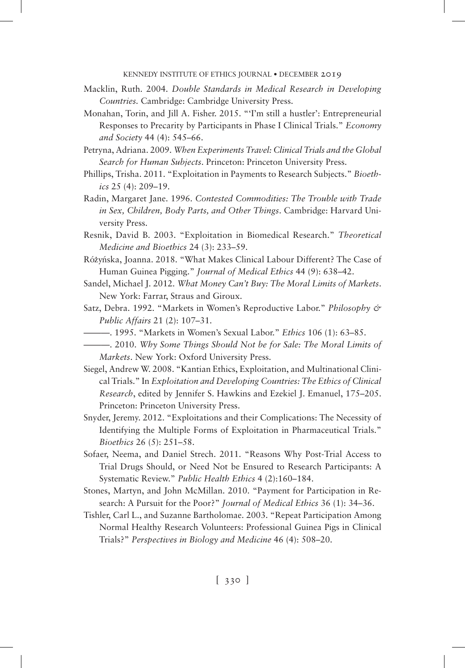- Macklin, Ruth. 2004. *Double Standards in Medical Research in Developing Countries.* Cambridge: Cambridge University Press.
- Monahan, Torin, and Jill A. Fisher. 2015. "'I'm still a hustler': Entrepreneurial Responses to Precarity by Participants in Phase I Clinical Trials." *Economy and Society* 44 (4): 545–66.
- Petryna, Adriana. 2009. *When Experiments Travel: Clinical Trials and the Global Search for Human Subjects*. Princeton: Princeton University Press.
- Phillips, Trisha. 2011. "Exploitation in Payments to Research Subjects." *Bioethics* 25 (4): 209–19.
- Radin, Margaret Jane. 1996. *Contested Commodities: The Trouble with Trade in Sex, Children, Body Parts, and Other Things*. Cambridge: Harvard University Press.
- Resnik, David B. 2003. "Exploitation in Biomedical Research." *Theoretical Medicine and Bioethics* 24 (3): 233–59.
- Różyńska, Joanna. 2018. "What Makes Clinical Labour Different? The Case of Human Guinea Pigging." *Journal of Medical Ethics* 44 (9): 638–42.
- Sandel, Michael J. 2012. *What Money Can't Buy: The Moral Limits of Markets*. New York: Farrar, Straus and Giroux.
- Satz, Debra. 1992. "Markets in Women's Reproductive Labor." *Philosophy & Public Affairs* 21 (2): 107–31.
- ———. 1995. "Markets in Women's Sexual Labor." *Ethics* 106 (1): 63–85.
- ———. 2010. *Why Some Things Should Not be for Sale: The Moral Limits of Markets*. New York: Oxford University Press.
- Siegel, Andrew W. 2008. "Kantian Ethics, Exploitation, and Multinational Clinical Trials." In *Exploitation and Developing Countries: The Ethics of Clinical Research*, edited by Jennifer S. Hawkins and Ezekiel J. Emanuel, 175–205. Princeton: Princeton University Press.
- Snyder, Jeremy. 2012. "Exploitations and their Complications: The Necessity of Identifying the Multiple Forms of Exploitation in Pharmaceutical Trials." *Bioethics* 26 (5): 251–58.
- Sofaer, Neema, and Daniel Strech. 2011. "Reasons Why Post-Trial Access to Trial Drugs Should, or Need Not be Ensured to Research Participants: A Systematic Review." *Public Health Ethics* 4 (2):160–184.
- Stones, Martyn, and John McMillan. 2010. "Payment for Participation in Research: A Pursuit for the Poor?" *Journal of Medical Ethics* 36 (1): 34–36.
- Tishler, Carl L., and Suzanne Bartholomae. 2003. "Repeat Participation Among Normal Healthy Research Volunteers: Professional Guinea Pigs in Clinical Trials?" *Perspectives in Biology and Medicine* 46 (4): 508–20.